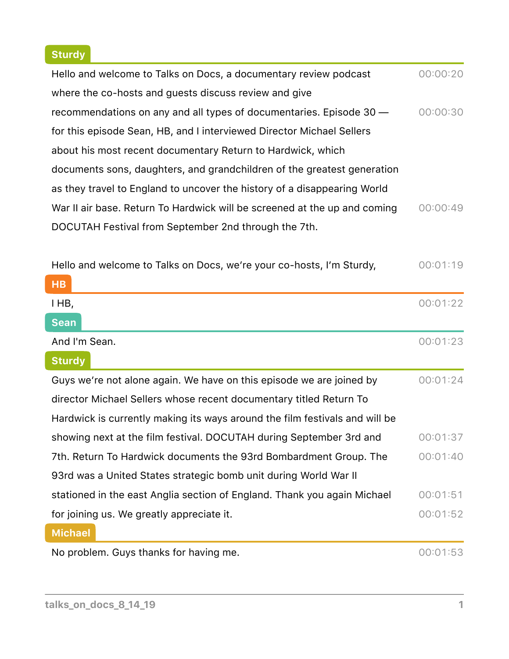# **Sturdy**

| Hello and welcome to Talks on Docs, a documentary review podcast          | 00:00:20 |
|---------------------------------------------------------------------------|----------|
| where the co-hosts and guests discuss review and give                     |          |
| recommendations on any and all types of documentaries. Episode 30 –       | 00:00:30 |
| for this episode Sean, HB, and I interviewed Director Michael Sellers     |          |
| about his most recent documentary Return to Hardwick, which               |          |
| documents sons, daughters, and grandchildren of the greatest generation   |          |
| as they travel to England to uncover the history of a disappearing World  |          |
| War II air base. Return To Hardwick will be screened at the up and coming | 00:00:49 |
| DOCUTAH Festival from September 2nd through the 7th.                      |          |

| Hello and welcome to Talks on Docs, we're your co-hosts, I'm Sturdy,        | 00:01:19 |
|-----------------------------------------------------------------------------|----------|
| HB                                                                          |          |
| I HB,                                                                       | 00:01:22 |
| <b>Sean</b>                                                                 |          |
| And I'm Sean.                                                               | 00:01:23 |
| <b>Sturdy</b>                                                               |          |
| Guys we're not alone again. We have on this episode we are joined by        | 00:01:24 |
| director Michael Sellers whose recent documentary titled Return To          |          |
| Hardwick is currently making its ways around the film festivals and will be |          |
| showing next at the film festival. DOCUTAH during September 3rd and         | 00:01:37 |
| 7th. Return To Hardwick documents the 93rd Bombardment Group. The           | 00:01:40 |
| 93rd was a United States strategic bomb unit during World War II            |          |
| stationed in the east Anglia section of England. Thank you again Michael    | 00:01:51 |
| for joining us. We greatly appreciate it.                                   | 00:01:52 |
| <b>Michael</b>                                                              |          |
| No problem. Guys thanks for having me.                                      | 00:01:53 |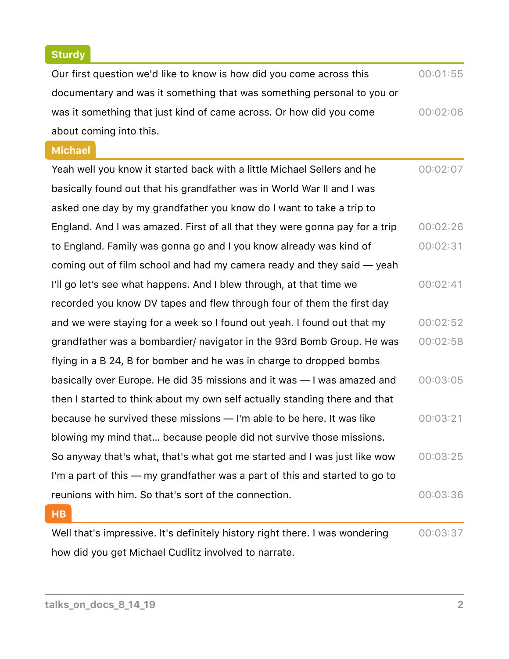# **Sturdy**

| Our first question we'd like to know is how did you come across this         | 00:01:55 |
|------------------------------------------------------------------------------|----------|
| documentary and was it something that was something personal to you or       |          |
| was it something that just kind of came across. Or how did you come          | 00:02:06 |
| about coming into this.                                                      |          |
| <b>Michael</b>                                                               |          |
| Yeah well you know it started back with a little Michael Sellers and he      | 00:02:07 |
| basically found out that his grandfather was in World War II and I was       |          |
| asked one day by my grandfather you know do I want to take a trip to         |          |
| England. And I was amazed. First of all that they were gonna pay for a trip  | 00:02:26 |
| to England. Family was gonna go and I you know already was kind of           | 00:02:31 |
| coming out of film school and had my camera ready and they said — yeah       |          |
| I'll go let's see what happens. And I blew through, at that time we          | 00:02:41 |
| recorded you know DV tapes and flew through four of them the first day       |          |
| and we were staying for a week so I found out yeah. I found out that my      | 00:02:52 |
| grandfather was a bombardier/ navigator in the 93rd Bomb Group. He was       | 00:02:58 |
| flying in a B 24, B for bomber and he was in charge to dropped bombs         |          |
| basically over Europe. He did 35 missions and it was - I was amazed and      | 00:03:05 |
| then I started to think about my own self actually standing there and that   |          |
| because he survived these missions - I'm able to be here. It was like        | 00:03:21 |
| blowing my mind that because people did not survive those missions.          |          |
| So anyway that's what, that's what got me started and I was just like wow    | 00:03:25 |
| I'm a part of this — my grandfather was a part of this and started to go to  |          |
| reunions with him. So that's sort of the connection.                         | 00:03:36 |
| <b>HB</b>                                                                    |          |
| Well that's impressive. It's definitely history right there. I was wondering | 00:03:37 |
| how did you get Michael Cudlitz involved to narrate.                         |          |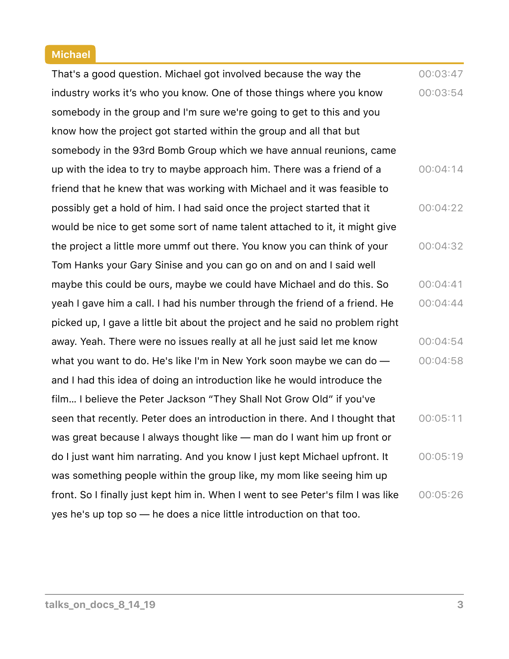#### **Michael**

That's a good question. Michael got involved because the way the industry works it's who you know. One of those things where you know somebody in the group and I'm sure we're going to get to this and you know how the project got started within the group and all that but somebody in the 93rd Bomb Group which we have annual reunions, came up with the idea to try to maybe approach him. There was a friend of a friend that he knew that was working with Michael and it was feasible to possibly get a hold of him. I had said once the project started that it would be nice to get some sort of name talent attached to it, it might give the project a little more ummf out there. You know you can think of your Tom Hanks your Gary Sinise and you can go on and on and I said well maybe this could be ours, maybe we could have Michael and do this. So yeah I gave him a call. I had his number through the friend of a friend. He picked up, I gave a little bit about the project and he said no problem right away. Yeah. There were no issues really at all he just said let me know what you want to do. He's like I'm in New York soon maybe we can do and I had this idea of doing an introduction like he would introduce the film… I believe the Peter Jackson "They Shall Not Grow Old" if you've seen that recently. Peter does an introduction in there. And I thought that was great because I always thought like — man do I want him up front or do I just want him narrating. And you know I just kept Michael upfront. It was something people within the group like, my mom like seeing him up front. So I finally just kept him in. When I went to see Peter's film I was like yes he's up top so — he does a nice little introduction on that too. 00:03:47 00:03:54 00:04:14 00:04:22 00:04:32 00:04:41 00:04:44 00:04:54 00:04:58 00:05:11  $00:05:19$ 00:05:26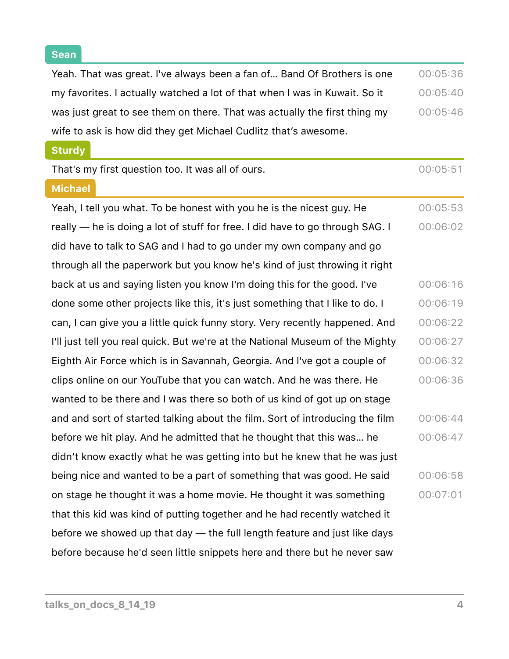**Sean**

 $\overline{\phantom{0}}$ 

| Yeah. That was great. I've always been a fan of Band Of Brothers is one       | 00:05:36 |
|-------------------------------------------------------------------------------|----------|
| my favorites. I actually watched a lot of that when I was in Kuwait. So it    | 00:05:40 |
| was just great to see them on there. That was actually the first thing my     | 00:05:46 |
| wife to ask is how did they get Michael Cudlitz that's awesome.               |          |
| <b>Sturdy</b>                                                                 |          |
| That's my first question too. It was all of ours.                             | 00:05:51 |
| <b>Michael</b>                                                                |          |
| Yeah, I tell you what. To be honest with you he is the nicest guy. He         | 00:05:53 |
| really — he is doing a lot of stuff for free. I did have to go through SAG. I | 00:06:02 |
| did have to talk to SAG and I had to go under my own company and go           |          |
| through all the paperwork but you know he's kind of just throwing it right    |          |
| back at us and saying listen you know I'm doing this for the good. I've       | 00:06:16 |
| done some other projects like this, it's just something that I like to do. I  | 00:06:19 |
| can, I can give you a little quick funny story. Very recently happened. And   | 00:06:22 |
| I'll just tell you real quick. But we're at the National Museum of the Mighty | 00:06:27 |
| Eighth Air Force which is in Savannah, Georgia. And I've got a couple of      | 00:06:32 |
| clips online on our YouTube that you can watch. And he was there. He          | 00:06:36 |
| wanted to be there and I was there so both of us kind of got up on stage      |          |
| and and sort of started talking about the film. Sort of introducing the film  | 00:06:44 |
| before we hit play. And he admitted that he thought that this was he          | 00:06:47 |
| didn't know exactly what he was getting into but he knew that he was just     |          |
| being nice and wanted to be a part of something that was good. He said        | 00:06:58 |
| on stage he thought it was a home movie. He thought it was something          | 00:07:01 |
| that this kid was kind of putting together and he had recently watched it     |          |
| before we showed up that day — the full length feature and just like days     |          |
| before because he'd seen little snippets here and there but he never saw      |          |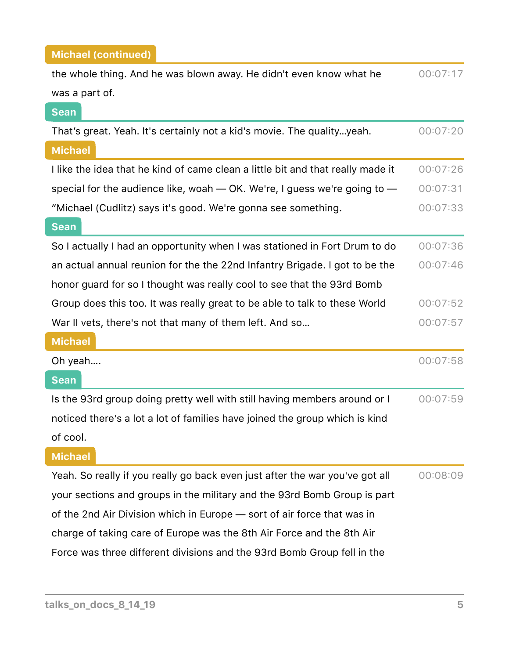| the whole thing. And he was blown away. He didn't even know what he             | 00:07:17 |
|---------------------------------------------------------------------------------|----------|
| was a part of.                                                                  |          |
| <b>Sean</b>                                                                     |          |
| That's great. Yeah. It's certainly not a kid's movie. The qualityyeah.          | 00:07:20 |
| <b>Michael</b>                                                                  |          |
| I like the idea that he kind of came clean a little bit and that really made it | 00:07:26 |
| special for the audience like, woah $-$ OK. We're, I guess we're going to $-$   | 00:07:31 |
| "Michael (Cudlitz) says it's good. We're gonna see something.                   | 00:07:33 |
| <b>Sean</b>                                                                     |          |
| So I actually I had an opportunity when I was stationed in Fort Drum to do      | 00:07:36 |
| an actual annual reunion for the the 22nd Infantry Brigade. I got to be the     | 00:07:46 |
| honor guard for so I thought was really cool to see that the 93rd Bomb          |          |
| Group does this too. It was really great to be able to talk to these World      | 00:07:52 |
| War II vets, there's not that many of them left. And so                         | 00:07:57 |
| <b>Michael</b>                                                                  |          |
| Oh yeah                                                                         | 00:07:58 |
| <b>Sean</b>                                                                     |          |
| Is the 93rd group doing pretty well with still having members around or I       | 00:07:59 |
| noticed there's a lot a lot of families have joined the group which is kind     |          |
| of cool.                                                                        |          |
| <b>Michael</b>                                                                  |          |
| Yeah. So really if you really go back even just after the war you've got all    | 00:08:09 |
| your sections and groups in the military and the 93rd Bomb Group is part        |          |
| of the 2nd Air Division which in Europe – sort of air force that was in         |          |
| charge of taking care of Europe was the 8th Air Force and the 8th Air           |          |
| Force was three different divisions and the 93rd Bomb Group fell in the         |          |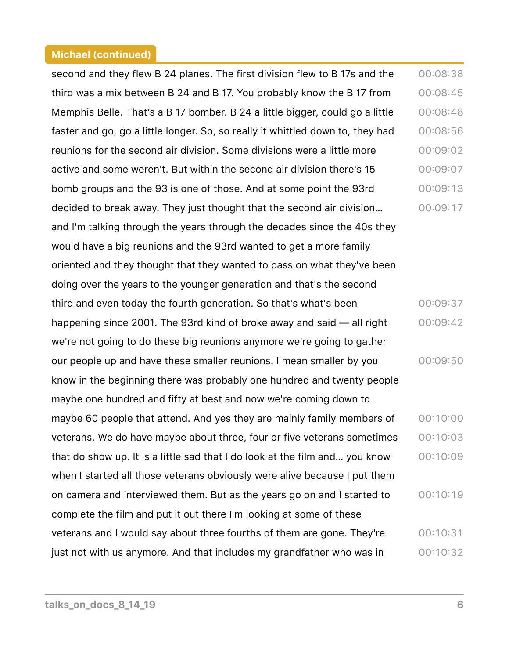second and they flew B 24 planes. The first division flew to B 17s and the third was a mix between B 24 and B 17. You probably know the B 17 from Memphis Belle. That's a B 17 bomber. B 24 a little bigger, could go a little faster and go, go a little longer. So, so really it whittled down to, they had reunions for the second air division. Some divisions were a little more active and some weren't. But within the second air division there's 15 bomb groups and the 93 is one of those. And at some point the 93rd decided to break away. They just thought that the second air division… and I'm talking through the years through the decades since the 40s they would have a big reunions and the 93rd wanted to get a more family oriented and they thought that they wanted to pass on what they've been doing over the years to the younger generation and that's the second third and even today the fourth generation. So that's what's been happening since 2001. The 93rd kind of broke away and said — all right we're not going to do these big reunions anymore we're going to gather our people up and have these smaller reunions. I mean smaller by you know in the beginning there was probably one hundred and twenty people maybe one hundred and fifty at best and now we're coming down to maybe 60 people that attend. And yes they are mainly family members of veterans. We do have maybe about three, four or five veterans sometimes that do show up. It is a little sad that I do look at the film and… you know when I started all those veterans obviously were alive because I put them on camera and interviewed them. But as the years go on and I started to complete the film and put it out there I'm looking at some of these veterans and I would say about three fourths of them are gone. They're just not with us anymore. And that includes my grandfather who was in 00:08:38 00:08:45 00:08:48 00:08:56 00:09:02 00:09:07 00:09:13 00:09:17 00:09:37 00:09:42 00:09:50 00:10:00 00:10:03 00:10:09 00:10:19 00:10:31 00:10:32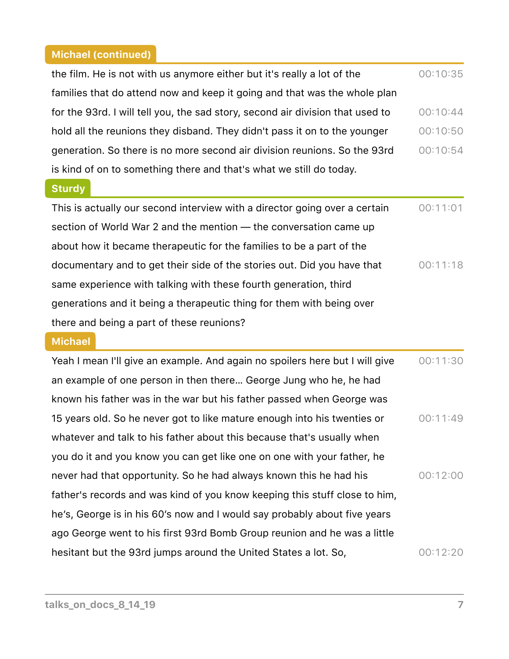| the film. He is not with us anymore either but it's really a lot of the        | 00:10:35 |
|--------------------------------------------------------------------------------|----------|
| families that do attend now and keep it going and that was the whole plan      |          |
| for the 93rd. I will tell you, the sad story, second air division that used to | 00:10:44 |
| hold all the reunions they disband. They didn't pass it on to the younger      | 00:10:50 |
| generation. So there is no more second air division reunions. So the 93rd      | 00:10:54 |
| is kind of on to something there and that's what we still do today.            |          |

### **Sturdy**

This is actually our second interview with a director going over a certain section of World War 2 and the mention — the conversation came up about how it became therapeutic for the families to be a part of the documentary and to get their side of the stories out. Did you have that same experience with talking with these fourth generation, third generations and it being a therapeutic thing for them with being over there and being a part of these reunions? 00:11:01 00:11:18

#### **Michael**

| Yeah I mean I'll give an example. And again no spoilers here but I will give | 00:11:30 |
|------------------------------------------------------------------------------|----------|
| an example of one person in then there George Jung who he, he had            |          |
| known his father was in the war but his father passed when George was        |          |
| 15 years old. So he never got to like mature enough into his twenties or     | 00:11:49 |
| whatever and talk to his father about this because that's usually when       |          |
| you do it and you know you can get like one on one with your father, he      |          |
| never had that opportunity. So he had always known this he had his           | 00:12:00 |
| father's records and was kind of you know keeping this stuff close to him,   |          |
| he's, George is in his 60's now and I would say probably about five years    |          |
| ago George went to his first 93rd Bomb Group reunion and he was a little     |          |
| hesitant but the 93rd jumps around the United States a lot. So,              | 00:12:20 |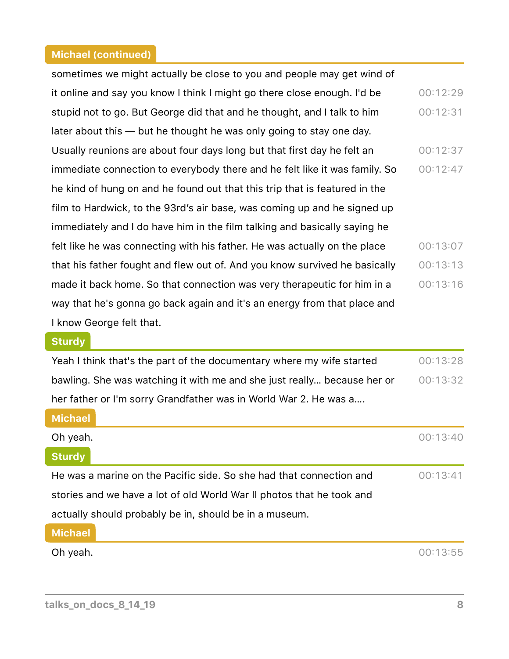| sometimes we might actually be close to you and people may get wind of     |          |
|----------------------------------------------------------------------------|----------|
| it online and say you know I think I might go there close enough. I'd be   | 00:12:29 |
| stupid not to go. But George did that and he thought, and I talk to him    | 00:12:31 |
| later about this — but he thought he was only going to stay one day.       |          |
| Usually reunions are about four days long but that first day he felt an    | 00:12:37 |
| immediate connection to everybody there and he felt like it was family. So | 00:12:47 |
| he kind of hung on and he found out that this trip that is featured in the |          |
| film to Hardwick, to the 93rd's air base, was coming up and he signed up   |          |
| immediately and I do have him in the film talking and basically saying he  |          |
| felt like he was connecting with his father. He was actually on the place  | 00:13:07 |
| that his father fought and flew out of. And you know survived he basically | 00:13:13 |
| made it back home. So that connection was very therapeutic for him in a    | 00:13:16 |
| way that he's gonna go back again and it's an energy from that place and   |          |
| I know George felt that.                                                   |          |

### **Sturdy**

Yeah I think that's the part of the documentary where my wife started bawling. She was watching it with me and she just really… because her or her father or I'm sorry Grandfather was in World War 2. He was a…. 00:13:28 00:13:32

| <b>Michael</b>                                                        |          |
|-----------------------------------------------------------------------|----------|
| Oh yeah.                                                              | 00:13:40 |
| <b>Sturdy</b>                                                         |          |
| He was a marine on the Pacific side. So she had that connection and   | 00:13:41 |
| stories and we have a lot of old World War II photos that he took and |          |
| actually should probably be in, should be in a museum.                |          |
| Michael                                                               |          |

**Oh yeah.**  $00:13:55$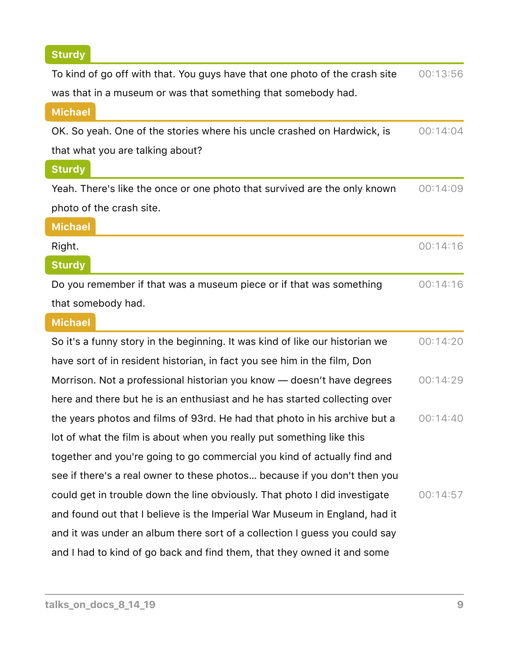# **Sturdy**

| To kind of go off with that. You guys have that one photo of the crash site  | 00:13:56 |
|------------------------------------------------------------------------------|----------|
| was that in a museum or was that something that somebody had.                |          |
| <b>Michael</b>                                                               |          |
| OK. So yeah. One of the stories where his uncle crashed on Hardwick, is      | 00:14:04 |
| that what you are talking about?                                             |          |
| <b>Sturdy</b>                                                                |          |
| Yeah. There's like the once or one photo that survived are the only known    | 00:14:09 |
| photo of the crash site.                                                     |          |
| <b>Michael</b>                                                               |          |
| Right.                                                                       | 00:14:16 |
| <b>Sturdy</b>                                                                |          |
| Do you remember if that was a museum piece or if that was something          | 00:14:16 |
| that somebody had.                                                           |          |
|                                                                              |          |
| <b>Michael</b>                                                               |          |
| So it's a funny story in the beginning. It was kind of like our historian we | 00:14:20 |
| have sort of in resident historian, in fact you see him in the film, Don     |          |
| Morrison. Not a professional historian you know — doesn't have degrees       | 00:14:29 |
| here and there but he is an enthusiast and he has started collecting over    |          |
| the years photos and films of 93rd. He had that photo in his archive but a   | 00:14:40 |
| lot of what the film is about when you really put something like this        |          |
| together and you're going to go commercial you kind of actually find and     |          |
| see if there's a real owner to these photos because if you don't then you    |          |
| could get in trouble down the line obviously. That photo I did investigate   | 00:14:57 |
| and found out that I believe is the Imperial War Museum in England, had it   |          |
| and it was under an album there sort of a collection I guess you could say   |          |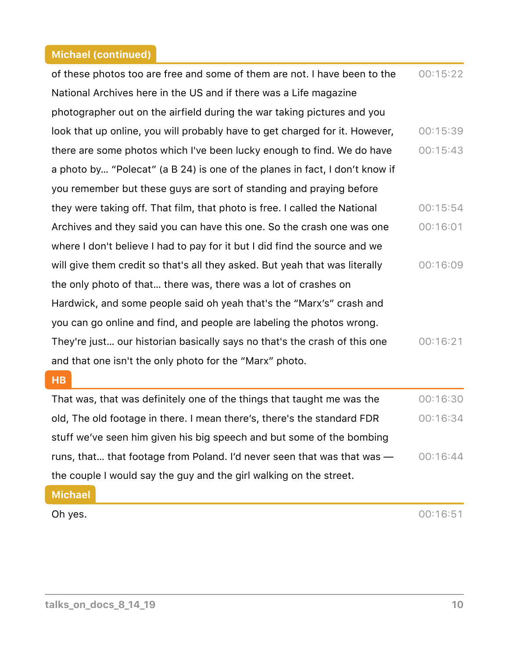| of these photos too are free and some of them are not. I have been to the   | 00:15:22 |
|-----------------------------------------------------------------------------|----------|
| National Archives here in the US and if there was a Life magazine           |          |
| photographer out on the airfield during the war taking pictures and you     |          |
| look that up online, you will probably have to get charged for it. However, | 00:15:39 |
| there are some photos which I've been lucky enough to find. We do have      | 00:15:43 |
| a photo by "Polecat" (a B 24) is one of the planes in fact, I don't know if |          |
| you remember but these guys are sort of standing and praying before         |          |
| they were taking off. That film, that photo is free. I called the National  | 00:15:54 |
| Archives and they said you can have this one. So the crash one was one      | 00:16:01 |
| where I don't believe I had to pay for it but I did find the source and we  |          |
| will give them credit so that's all they asked. But yeah that was literally | 00:16:09 |
| the only photo of that there was, there was a lot of crashes on             |          |
| Hardwick, and some people said oh yeah that's the "Marx's" crash and        |          |
| you can go online and find, and people are labeling the photos wrong.       |          |
| They're just our historian basically says no that's the crash of this one   | 00:16:21 |
| and that one isn't the only photo for the "Marx" photo.                     |          |

#### **HB**

That was, that was definitely one of the things that taught me was the old, The old footage in there. I mean there's, there's the standard FDR stuff we've seen him given his big speech and but some of the bombing runs, that... that footage from Poland. I'd never seen that was that was  $$ the couple I would say the guy and the girl walking on the street. 00:16:30 00:16:34  $00:16:44$ 

### **Michael**

**Oh yes.**  $00:16:51$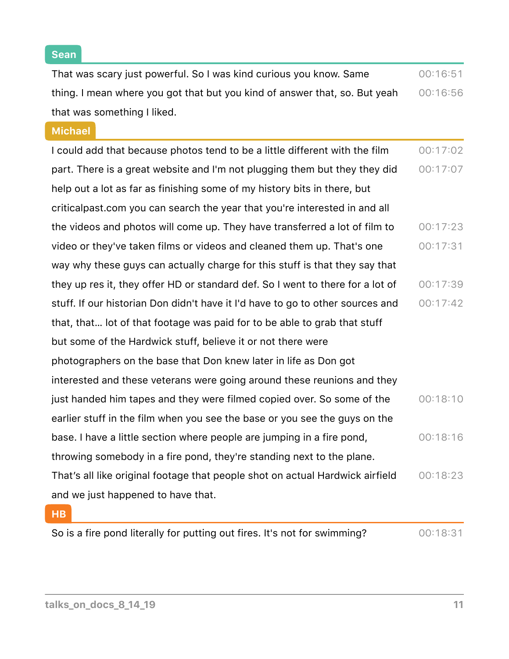That was scary just powerful. So I was kind curious you know. Same thing. I mean where you got that but you kind of answer that, so. But yeah that was something I liked. 00:16:51 00:16:56

**Michael**

I could add that because photos tend to be a little different with the film part. There is a great website and I'm not plugging them but they they did help out a lot as far as finishing some of my history bits in there, but criticalpast.com you can search the year that you're interested in and all the videos and photos will come up. They have transferred a lot of film to video or they've taken films or videos and cleaned them up. That's one way why these guys can actually charge for this stuff is that they say that they up res it, they offer HD or standard def. So I went to there for a lot of stuff. If our historian Don didn't have it I'd have to go to other sources and that, that… lot of that footage was paid for to be able to grab that stuff but some of the Hardwick stuff, believe it or not there were photographers on the base that Don knew later in life as Don got interested and these veterans were going around these reunions and they just handed him tapes and they were filmed copied over. So some of the earlier stuff in the film when you see the base or you see the guys on the base. I have a little section where people are jumping in a fire pond, throwing somebody in a fire pond, they're standing next to the plane. That's all like original footage that people shot on actual Hardwick airfield and we just happened to have that. 00:17:02  $00:17:07$  $00:17:23$  $00:17:31$  $00:17:39$  $00:17:42$  $00:18:10$ 00:18:16 00:18:23

|  |  |  | So is a fire pond literally for putting out fires. It's not for swimming? | 00:18:31 |
|--|--|--|---------------------------------------------------------------------------|----------|
|--|--|--|---------------------------------------------------------------------------|----------|

**HB**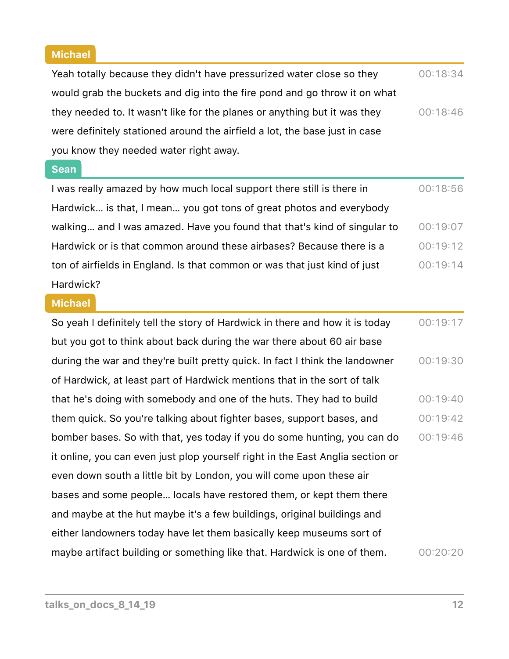### **Michael**

Yeah totally because they didn't have pressurized water close so they would grab the buckets and dig into the fire pond and go throw it on what they needed to. It wasn't like for the planes or anything but it was they were definitely stationed around the airfield a lot, the base just in case you know they needed water right away. 00:18:34 00:18:46

### **Sean**

| I was really amazed by how much local support there still is there in     | 00:18:56 |
|---------------------------------------------------------------------------|----------|
| Hardwick is that, I mean you got tons of great photos and everybody       |          |
| walking and I was amazed. Have you found that that's kind of singular to  | 00:19:07 |
| Hardwick or is that common around these airbases? Because there is a      | 00:19:12 |
| ton of airfields in England. Is that common or was that just kind of just | 00:19:14 |
| Hardwick?                                                                 |          |

### **Michael**

| So yeah I definitely tell the story of Hardwick in there and how it is today   | 00:19:17 |
|--------------------------------------------------------------------------------|----------|
| but you got to think about back during the war there about 60 air base         |          |
| during the war and they're built pretty quick. In fact I think the landowner   | 00:19:30 |
| of Hardwick, at least part of Hardwick mentions that in the sort of talk       |          |
| that he's doing with somebody and one of the huts. They had to build           | 00:19:40 |
| them quick. So you're talking about fighter bases, support bases, and          | 00:19:42 |
| bomber bases. So with that, yes today if you do some hunting, you can do       | 00:19:46 |
| it online, you can even just plop yourself right in the East Anglia section or |          |
| even down south a little bit by London, you will come upon these air           |          |
| bases and some people locals have restored them, or kept them there            |          |
| and maybe at the hut maybe it's a few buildings, original buildings and        |          |
| either landowners today have let them basically keep museums sort of           |          |
| maybe artifact building or something like that. Hardwick is one of them.       | 00:20:20 |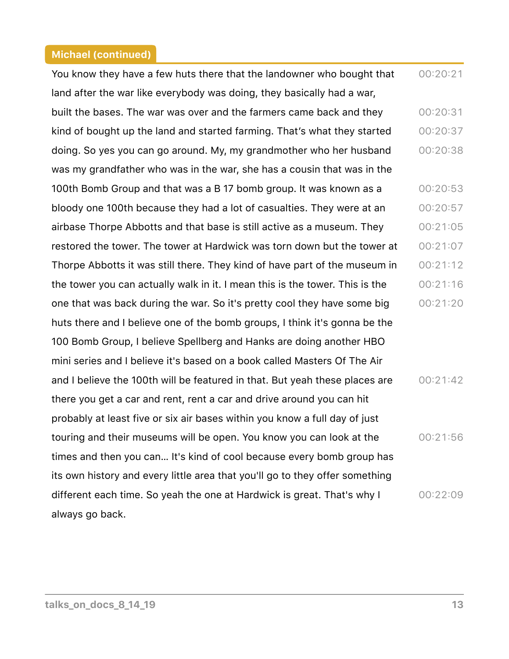You know they have a few huts there that the landowner who bought that land after the war like everybody was doing, they basically had a war, built the bases. The war was over and the farmers came back and they kind of bought up the land and started farming. That's what they started doing. So yes you can go around. My, my grandmother who her husband was my grandfather who was in the war, she has a cousin that was in the 100th Bomb Group and that was a B 17 bomb group. It was known as a bloody one 100th because they had a lot of casualties. They were at an airbase Thorpe Abbotts and that base is still active as a museum. They restored the tower. The tower at Hardwick was torn down but the tower at Thorpe Abbotts it was still there. They kind of have part of the museum in the tower you can actually walk in it. I mean this is the tower. This is the one that was back during the war. So it's pretty cool they have some big huts there and I believe one of the bomb groups, I think it's gonna be the 100 Bomb Group, I believe Spellberg and Hanks are doing another HBO mini series and I believe it's based on a book called Masters Of The Air and I believe the 100th will be featured in that. But yeah these places are there you get a car and rent, rent a car and drive around you can hit probably at least five or six air bases within you know a full day of just touring and their museums will be open. You know you can look at the times and then you can… It's kind of cool because every bomb group has its own history and every little area that you'll go to they offer something different each time. So yeah the one at Hardwick is great. That's why I always go back. 00:20:21 00:20:31 00:20:37 00:20:38 00:20:53 00:20:57 00:21:05  $00:21:07$  $00:21:12$ 00:21:16 00:21:20  $00:21:42$ 00:21:56 00:22:09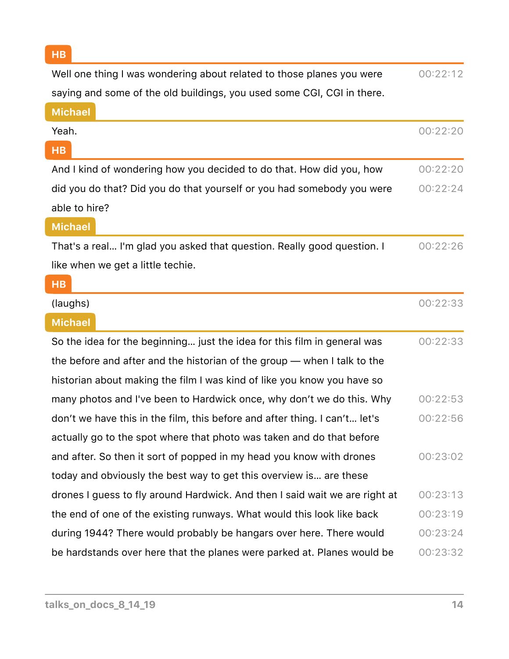| Well one thing I was wondering about related to those planes you were       | 00:22:12 |
|-----------------------------------------------------------------------------|----------|
| saying and some of the old buildings, you used some CGI, CGI in there.      |          |
| <b>Michael</b>                                                              |          |
| Yeah.                                                                       | 00:22:20 |
| HB                                                                          |          |
| And I kind of wondering how you decided to do that. How did you, how        | 00:22:20 |
| did you do that? Did you do that yourself or you had somebody you were      | 00:22:24 |
| able to hire?                                                               |          |
| <b>Michael</b>                                                              |          |
| That's a real I'm glad you asked that question. Really good question. I     | 00:22:26 |
| like when we get a little techie.                                           |          |
| <b>HB</b>                                                                   |          |
| (laughs)                                                                    | 00:22:33 |
| <b>Michael</b>                                                              |          |
| So the idea for the beginning just the idea for this film in general was    | 00:22:33 |
| the before and after and the historian of the group - when I talk to the    |          |
| historian about making the film I was kind of like you know you have so     |          |
| many photos and I've been to Hardwick once, why don't we do this. Why       | 00:22:53 |
| don't we have this in the film, this before and after thing. I can't let's  | 00:22:56 |
| actually go to the spot where that photo was taken and do that before       |          |
| and after. So then it sort of popped in my head you know with drones        | 00:23:02 |
| today and obviously the best way to get this overview is are these          |          |
| drones I guess to fly around Hardwick. And then I said wait we are right at | 00:23:13 |
| the end of one of the existing runways. What would this look like back      | 00:23:19 |
| during 1944? There would probably be hangars over here. There would         | 00:23:24 |
| be hardstands over here that the planes were parked at. Planes would be     | 00:23:32 |

**HB**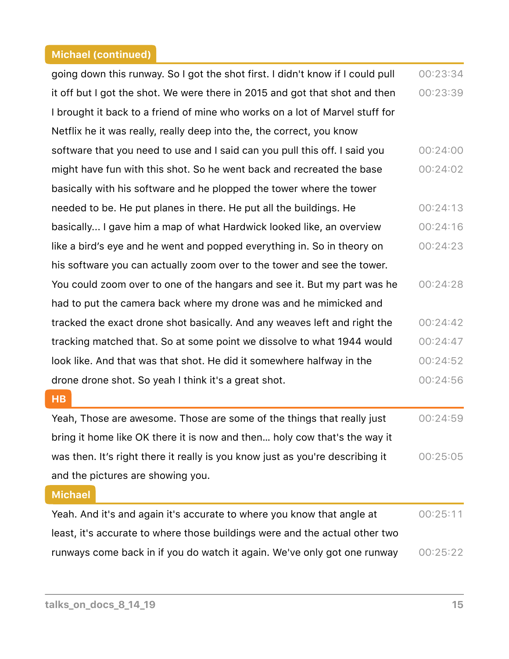| going down this runway. So I got the shot first. I didn't know if I could pull | 00:23:34 |
|--------------------------------------------------------------------------------|----------|
| it off but I got the shot. We were there in 2015 and got that shot and then    | 00:23:39 |
| I brought it back to a friend of mine who works on a lot of Marvel stuff for   |          |
| Netflix he it was really, really deep into the, the correct, you know          |          |
| software that you need to use and I said can you pull this off. I said you     | 00:24:00 |
| might have fun with this shot. So he went back and recreated the base          | 00:24:02 |
| basically with his software and he plopped the tower where the tower           |          |
| needed to be. He put planes in there. He put all the buildings. He             | 00:24:13 |
| basically I gave him a map of what Hardwick looked like, an overview           | 00:24:16 |
| like a bird's eye and he went and popped everything in. So in theory on        | 00:24:23 |
| his software you can actually zoom over to the tower and see the tower.        |          |
| You could zoom over to one of the hangars and see it. But my part was he       | 00:24:28 |
| had to put the camera back where my drone was and he mimicked and              |          |
| tracked the exact drone shot basically. And any weaves left and right the      | 00:24:42 |
| tracking matched that. So at some point we dissolve to what 1944 would         | 00:24:47 |
| look like. And that was that shot. He did it somewhere halfway in the          | 00:24:52 |
| drone drone shot. So yeah I think it's a great shot.                           | 00:24:56 |
| HB                                                                             |          |
| Yeah, Those are awesome. Those are some of the things that really just         | 00:24:59 |
| bring it home like OK there it is now and then holy cow that's the way it      |          |
| was then. It's right there it really is you know just as you're describing it  | 00:25:05 |
| and the pictures are showing you.                                              |          |
| <b>Michael</b>                                                                 |          |
| Yeah. And it's and again it's accurate to where you know that angle at         | 00:25:11 |

least, it's accurate to where those buildings were and the actual other two runways come back in if you do watch it again. We've only got one runway  $\qquad$  00:25:22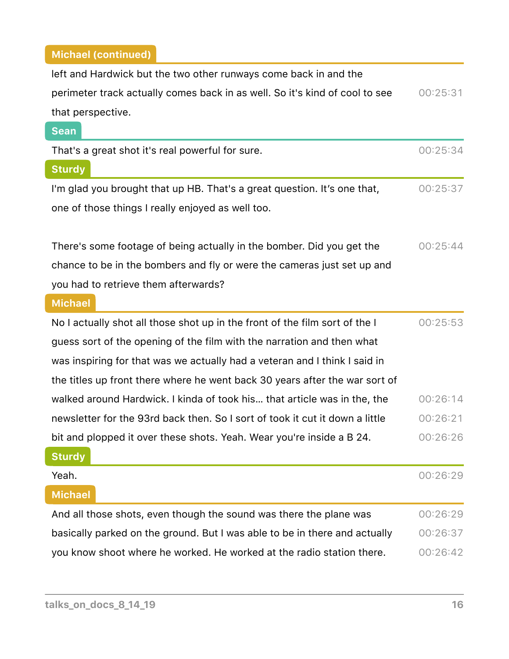| left and Hardwick but the two other runways come back in and the             |          |
|------------------------------------------------------------------------------|----------|
| perimeter track actually comes back in as well. So it's kind of cool to see  | 00:25:31 |
| that perspective.                                                            |          |
| <b>Sean</b>                                                                  |          |
| That's a great shot it's real powerful for sure.                             | 00:25:34 |
| <b>Sturdy</b>                                                                |          |
| I'm glad you brought that up HB. That's a great question. It's one that,     | 00:25:37 |
| one of those things I really enjoyed as well too.                            |          |
|                                                                              |          |
| There's some footage of being actually in the bomber. Did you get the        | 00:25:44 |
| chance to be in the bombers and fly or were the cameras just set up and      |          |
| you had to retrieve them afterwards?                                         |          |
| <b>Michael</b>                                                               |          |
| No I actually shot all those shot up in the front of the film sort of the I  | 00:25:53 |
| guess sort of the opening of the film with the narration and then what       |          |
| was inspiring for that was we actually had a veteran and I think I said in   |          |
| the titles up front there where he went back 30 years after the war sort of  |          |
| walked around Hardwick. I kinda of took his that article was in the, the     | 00:26:14 |
| newsletter for the 93rd back then. So I sort of took it cut it down a little | 00:26:21 |
| bit and plopped it over these shots. Yeah. Wear you're inside a B 24.        | 00:26:26 |
| <b>Sturdy</b>                                                                |          |
| Yeah.                                                                        | 00:26:29 |
| <b>Michael</b>                                                               |          |
| And all those shots, even though the sound was there the plane was           | 00:26:29 |
|                                                                              |          |
| basically parked on the ground. But I was able to be in there and actually   | 00:26:37 |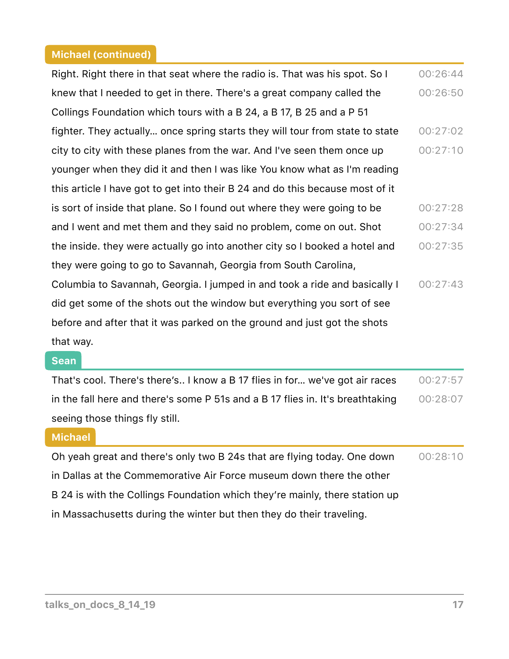| Right. Right there in that seat where the radio is. That was his spot. So I   | 00:26:44 |
|-------------------------------------------------------------------------------|----------|
| knew that I needed to get in there. There's a great company called the        | 00:26:50 |
| Collings Foundation which tours with a B 24, a B 17, B 25 and a P 51          |          |
| fighter. They actually once spring starts they will tour from state to state  | 00:27:02 |
| city to city with these planes from the war. And I've seen them once up       | 00:27:10 |
| younger when they did it and then I was like You know what as I'm reading     |          |
| this article I have got to get into their B 24 and do this because most of it |          |
| is sort of inside that plane. So I found out where they were going to be      | 00:27:28 |
| and I went and met them and they said no problem, come on out. Shot           | 00:27:34 |
| the inside. they were actually go into another city so I booked a hotel and   | 00:27:35 |
| they were going to go to Savannah, Georgia from South Carolina,               |          |
| Columbia to Savannah, Georgia. I jumped in and took a ride and basically I    | 00:27:43 |
| did get some of the shots out the window but everything you sort of see       |          |
| before and after that it was parked on the ground and just got the shots      |          |
| that way.                                                                     |          |

#### **Sean**

| That's cool. There's there's I know a B 17 flies in for we've got air races    | 00:27:57 |
|--------------------------------------------------------------------------------|----------|
| in the fall here and there's some P 51s and a B 17 flies in. It's breathtaking | 00:28:07 |
| seeing those things fly still.                                                 |          |

### **Michael**

Oh yeah great and there's only two B 24s that are flying today. One down in Dallas at the Commemorative Air Force museum down there the other B 24 is with the Collings Foundation which they're mainly, there station up in Massachusetts during the winter but then they do their traveling. 00:28:10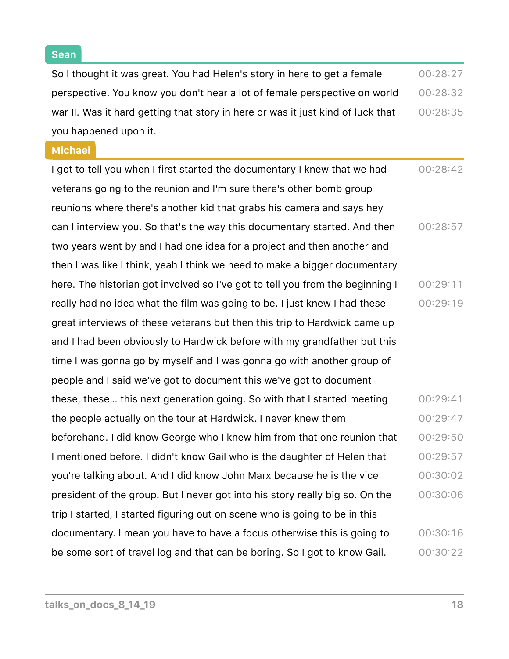$\overline{\phantom{a}}$ 

| So I thought it was great. You had Helen's story in here to get a female        | 00:28:27 |
|---------------------------------------------------------------------------------|----------|
| perspective. You know you don't hear a lot of female perspective on world       | 00:28:32 |
| war II. Was it hard getting that story in here or was it just kind of luck that | 00:28:35 |
| you happened upon it.                                                           |          |
| <b>Michael</b>                                                                  |          |
| I got to tell you when I first started the documentary I knew that we had       | 00:28:42 |
| veterans going to the reunion and I'm sure there's other bomb group             |          |
| reunions where there's another kid that grabs his camera and says hey           |          |
| can I interview you. So that's the way this documentary started. And then       | 00:28:57 |
| two years went by and I had one idea for a project and then another and         |          |
| then I was like I think, yeah I think we need to make a bigger documentary      |          |
| here. The historian got involved so I've got to tell you from the beginning I   | 00:29:11 |
| really had no idea what the film was going to be. I just knew I had these       | 00:29:19 |
| great interviews of these veterans but then this trip to Hardwick came up       |          |
| and I had been obviously to Hardwick before with my grandfather but this        |          |
| time I was gonna go by myself and I was gonna go with another group of          |          |
| people and I said we've got to document this we've got to document              |          |
| these, these this next generation going. So with that I started meeting         | 00:29:41 |
| the people actually on the tour at Hardwick. I never knew them                  | 00:29:47 |
| beforehand. I did know George who I knew him from that one reunion that         | 00:29:50 |
| I mentioned before. I didn't know Gail who is the daughter of Helen that        | 00:29:57 |
| you're talking about. And I did know John Marx because he is the vice           | 00:30:02 |
| president of the group. But I never got into his story really big so. On the    | 00:30:06 |
| trip I started, I started figuring out on scene who is going to be in this      |          |
| documentary. I mean you have to have a focus otherwise this is going to         | 00:30:16 |
| be some sort of travel log and that can be boring. So I got to know Gail.       | 00:30:22 |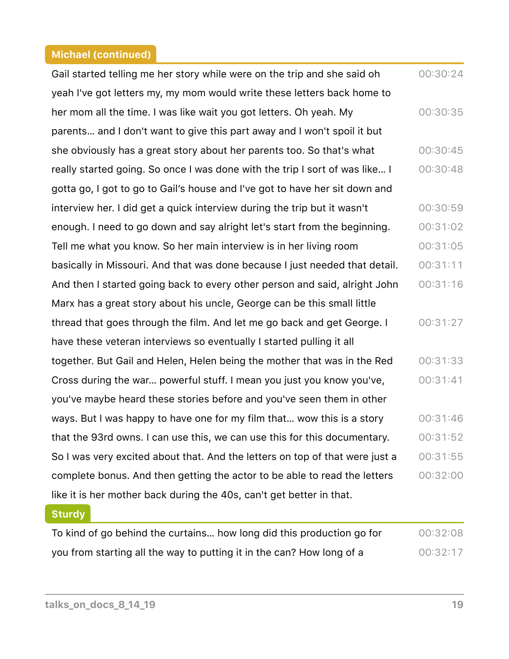| Gail started telling me her story while were on the trip and she said oh     | 00:30:24 |
|------------------------------------------------------------------------------|----------|
| yeah I've got letters my, my mom would write these letters back home to      |          |
| her mom all the time. I was like wait you got letters. Oh yeah. My           | 00:30:35 |
| parents and I don't want to give this part away and I won't spoil it but     |          |
| she obviously has a great story about her parents too. So that's what        | 00:30:45 |
| really started going. So once I was done with the trip I sort of was like I  | 00:30:48 |
| gotta go, I got to go to Gail's house and I've got to have her sit down and  |          |
| interview her. I did get a quick interview during the trip but it wasn't     | 00:30:59 |
| enough. I need to go down and say alright let's start from the beginning.    | 00:31:02 |
| Tell me what you know. So her main interview is in her living room           | 00:31:05 |
| basically in Missouri. And that was done because I just needed that detail.  | 00:31:11 |
| And then I started going back to every other person and said, alright John   | 00:31:16 |
| Marx has a great story about his uncle, George can be this small little      |          |
| thread that goes through the film. And let me go back and get George. I      | 00:31:27 |
| have these veteran interviews so eventually I started pulling it all         |          |
| together. But Gail and Helen, Helen being the mother that was in the Red     | 00:31:33 |
| Cross during the war powerful stuff. I mean you just you know you've,        | 00:31:41 |
| you've maybe heard these stories before and you've seen them in other        |          |
| ways. But I was happy to have one for my film that wow this is a story       | 00:31:46 |
| that the 93rd owns. I can use this, we can use this for this documentary.    | 00:31:52 |
| So I was very excited about that. And the letters on top of that were just a | 00:31:55 |
| complete bonus. And then getting the actor to be able to read the letters    | 00:32:00 |
| like it is her mother back during the 40s, can't get better in that.         |          |
| <b>Sturdy</b>                                                                |          |

| To kind of go behind the curtains how long did this production go for | 00:32:08 |
|-----------------------------------------------------------------------|----------|
| you from starting all the way to putting it in the can? How long of a | 00:32:17 |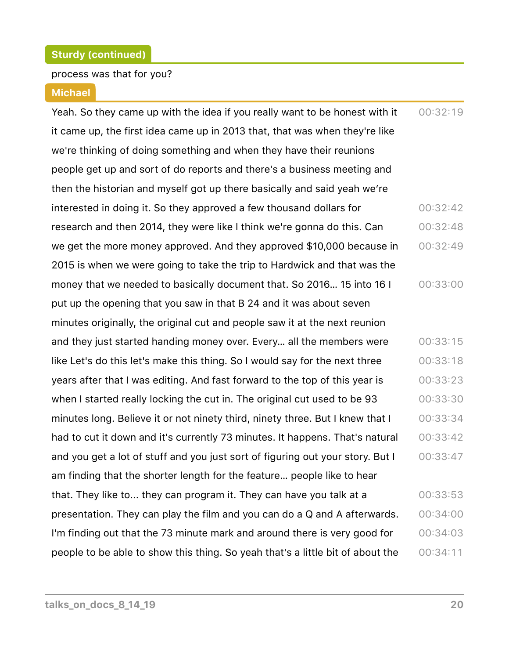#### process was that for you?

#### **Michael**

Yeah. So they came up with the idea if you really want to be honest with it it came up, the first idea came up in 2013 that, that was when they're like we're thinking of doing something and when they have their reunions people get up and sort of do reports and there's a business meeting and then the historian and myself got up there basically and said yeah we're interested in doing it. So they approved a few thousand dollars for research and then 2014, they were like I think we're gonna do this. Can we get the more money approved. And they approved \$10,000 because in 2015 is when we were going to take the trip to Hardwick and that was the money that we needed to basically document that. So 2016… 15 into 16 I put up the opening that you saw in that B 24 and it was about seven minutes originally, the original cut and people saw it at the next reunion and they just started handing money over. Every… all the members were like Let's do this let's make this thing. So I would say for the next three years after that I was editing. And fast forward to the top of this year is when I started really locking the cut in. The original cut used to be 93 minutes long. Believe it or not ninety third, ninety three. But I knew that I had to cut it down and it's currently 73 minutes. It happens. That's natural and you get a lot of stuff and you just sort of figuring out your story. But I am finding that the shorter length for the feature… people like to hear that. They like to... they can program it. They can have you talk at a presentation. They can play the film and you can do a Q and A afterwards. I'm finding out that the 73 minute mark and around there is very good for people to be able to show this thing. So yeah that's a little bit of about the  $00:32:19$ 00:32:42 00:32:48 00:32:49 00:33:00  $00:33:15$  $00:33:18$ 00:33:23 00:33:30 00:33:34 00:33:42 00:33:47 00:33:53 00:34:00 00:34:03  $00:34:11$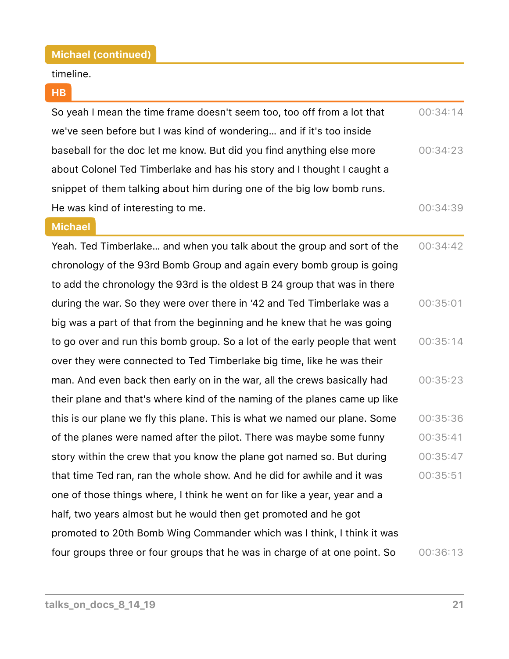#### timeline.

#### **HB**

| So yeah I mean the time frame doesn't seem too, too off from a lot that | 00:34:14 |
|-------------------------------------------------------------------------|----------|
| we've seen before but I was kind of wondering and if it's too inside    |          |
| baseball for the doc let me know. But did you find anything else more   | 00:34:23 |
| about Colonel Ted Timberlake and has his story and I thought I caught a |          |
| snippet of them talking about him during one of the big low bomb runs.  |          |
| He was kind of interesting to me.                                       | 00:34:39 |

#### **Michael**

Yeah. Ted Timberlake… and when you talk about the group and sort of the chronology of the 93rd Bomb Group and again every bomb group is going to add the chronology the 93rd is the oldest B 24 group that was in there during the war. So they were over there in '42 and Ted Timberlake was a big was a part of that from the beginning and he knew that he was going to go over and run this bomb group. So a lot of the early people that went over they were connected to Ted Timberlake big time, like he was their man. And even back then early on in the war, all the crews basically had their plane and that's where kind of the naming of the planes came up like this is our plane we fly this plane. This is what we named our plane. Some of the planes were named after the pilot. There was maybe some funny story within the crew that you know the plane got named so. But during that time Ted ran, ran the whole show. And he did for awhile and it was one of those things where, I think he went on for like a year, year and a half, two years almost but he would then get promoted and he got promoted to 20th Bomb Wing Commander which was I think, I think it was four groups three or four groups that he was in charge of at one point. So 00:34:42 00:35:01  $00:35:14$ 00:35:23 00:35:36 00:35:41 00:35:47 00:35:51 00:36:13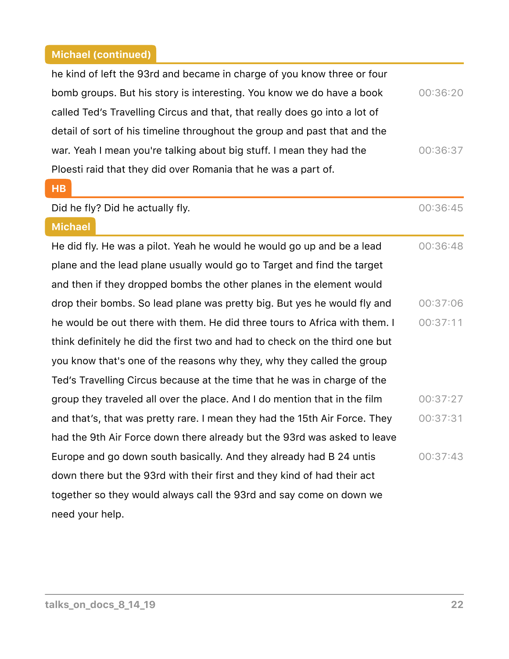$\sqrt{2}$ 

ſ

| he kind of left the 93rd and became in charge of you know three or four     |          |
|-----------------------------------------------------------------------------|----------|
| bomb groups. But his story is interesting. You know we do have a book       | 00:36:20 |
| called Ted's Travelling Circus and that, that really does go into a lot of  |          |
| detail of sort of his timeline throughout the group and past that and the   |          |
| war. Yeah I mean you're talking about big stuff. I mean they had the        | 00:36:37 |
| Ploesti raid that they did over Romania that he was a part of.              |          |
| HB                                                                          |          |
| Did he fly? Did he actually fly.                                            | 00:36:45 |
| <b>Michael</b>                                                              |          |
| He did fly. He was a pilot. Yeah he would he would go up and be a lead      | 00:36:48 |
| plane and the lead plane usually would go to Target and find the target     |          |
| and then if they dropped bombs the other planes in the element would        |          |
| drop their bombs. So lead plane was pretty big. But yes he would fly and    | 00:37:06 |
| he would be out there with them. He did three tours to Africa with them. I  | 00:37:11 |
| think definitely he did the first two and had to check on the third one but |          |
| you know that's one of the reasons why they, why they called the group      |          |
| Ted's Travelling Circus because at the time that he was in charge of the    |          |
| group they traveled all over the place. And I do mention that in the film   | 00:37:27 |
| and that's, that was pretty rare. I mean they had the 15th Air Force. They  | 00:37:31 |
| had the 9th Air Force down there already but the 93rd was asked to leave    |          |
| Europe and go down south basically. And they already had B 24 untis         | 00:37:43 |
| down there but the 93rd with their first and they kind of had their act     |          |
| together so they would always call the 93rd and say come on down we         |          |
| need your help.                                                             |          |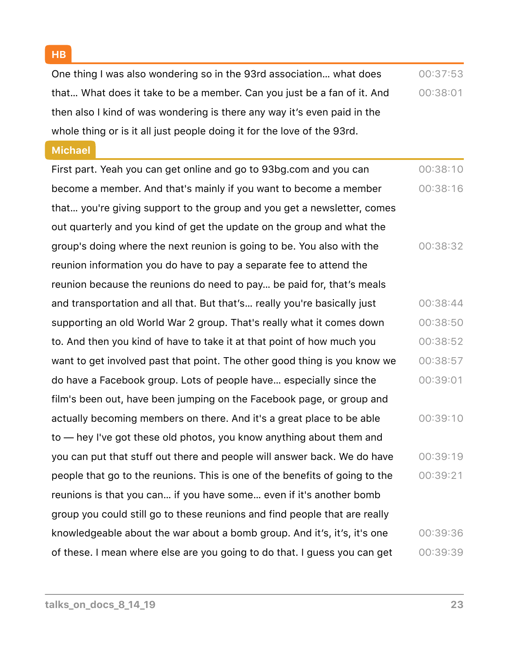**HB**

One thing I was also wondering so in the 93rd association… what does that… What does it take to be a member. Can you just be a fan of it. And then also I kind of was wondering is there any way it's even paid in the whole thing or is it all just people doing it for the love of the 93rd.  $00:37:53$ 00:38:01

#### **Michael**

First part. Yeah you can get online and go to 93bg.com and you can become a member. And that's mainly if you want to become a member that… you're giving support to the group and you get a newsletter, comes out quarterly and you kind of get the update on the group and what the group's doing where the next reunion is going to be. You also with the reunion information you do have to pay a separate fee to attend the reunion because the reunions do need to pay… be paid for, that's meals and transportation and all that. But that's… really you're basically just supporting an old World War 2 group. That's really what it comes down to. And then you kind of have to take it at that point of how much you want to get involved past that point. The other good thing is you know we do have a Facebook group. Lots of people have… especially since the film's been out, have been jumping on the Facebook page, or group and actually becoming members on there. And it's a great place to be able to — hey I've got these old photos, you know anything about them and you can put that stuff out there and people will answer back. We do have people that go to the reunions. This is one of the benefits of going to the reunions is that you can… if you have some… even if it's another bomb group you could still go to these reunions and find people that are really knowledgeable about the war about a bomb group. And it's, it's, it's one of these. I mean where else are you going to do that. I guess you can get 00:38:10 00:38:16 00:38:32 00:38:44 00:38:50 00:38:52 00:38:57 00:39:01 00:39:10 00:39:19 00:39:21 00:39:36 00:39:39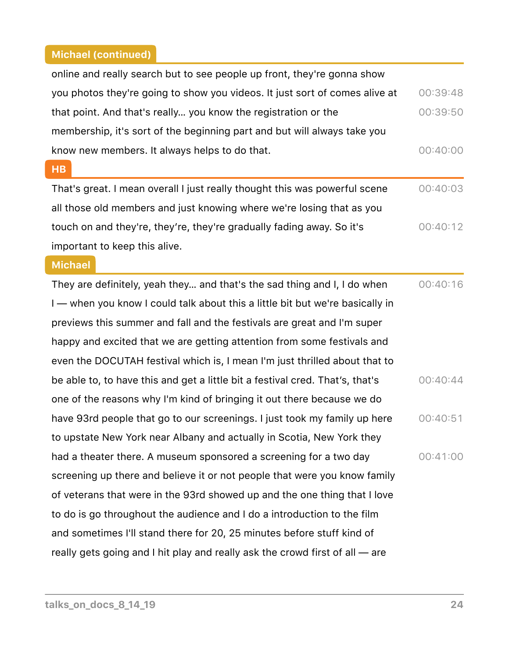| online and really search but to see people up front, they're gonna show       |          |
|-------------------------------------------------------------------------------|----------|
| you photos they're going to show you videos. It just sort of comes alive at   | 00:39:48 |
| that point. And that's really you know the registration or the                | 00:39:50 |
| membership, it's sort of the beginning part and but will always take you      |          |
| know new members. It always helps to do that.                                 | 00:40:00 |
| <b>HB</b>                                                                     |          |
| That's great. I mean overall I just really thought this was powerful scene    | 00:40:03 |
| all those old members and just knowing where we're losing that as you         |          |
| touch on and they're, they're, they're gradually fading away. So it's         | 00:40:12 |
| important to keep this alive.                                                 |          |
| <b>Michael</b>                                                                |          |
| They are definitely, yeah they and that's the sad thing and I, I do when      | 00:40:16 |
| I - when you know I could talk about this a little bit but we're basically in |          |
| previews this summer and fall and the festivals are great and I'm super       |          |
| happy and excited that we are getting attention from some festivals and       |          |
| even the DOCUTAH festival which is, I mean I'm just thrilled about that to    |          |
| be able to, to have this and get a little bit a festival cred. That's, that's | 00:40:44 |
| one of the reasons why I'm kind of bringing it out there because we do        |          |
| have 93rd people that go to our screenings. I just took my family up here     | 00:40:51 |
| to upstate New York near Albany and actually in Scotia, New York they         |          |
| had a theater there. A museum sponsored a screening for a two day             | 00:41:00 |
| screening up there and believe it or not people that were you know family     |          |
| of veterans that were in the 93rd showed up and the one thing that I love     |          |
| to do is go throughout the audience and I do a introduction to the film       |          |
| and sometimes I'll stand there for 20, 25 minutes before stuff kind of        |          |
| really gets going and I hit play and really ask the crowd first of all - are  |          |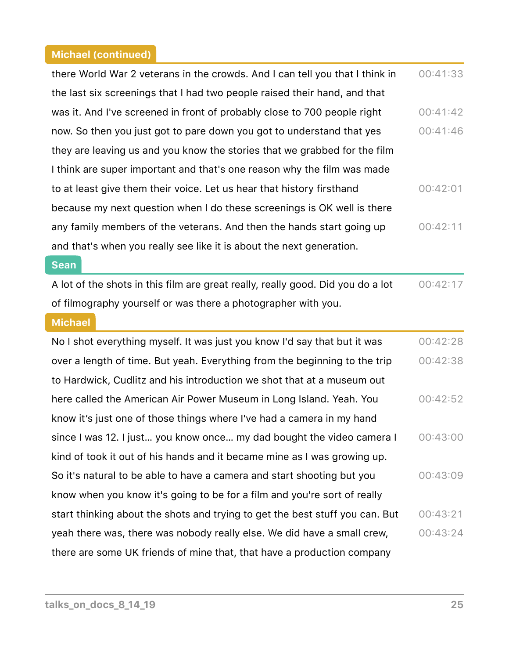ſ

| there World War 2 veterans in the crowds. And I can tell you that I think in    | 00:41:33 |
|---------------------------------------------------------------------------------|----------|
| the last six screenings that I had two people raised their hand, and that       |          |
| was it. And I've screened in front of probably close to 700 people right        | 00:41:42 |
| now. So then you just got to pare down you got to understand that yes           | 00:41:46 |
| they are leaving us and you know the stories that we grabbed for the film       |          |
| I think are super important and that's one reason why the film was made         |          |
| to at least give them their voice. Let us hear that history firsthand           | 00:42:01 |
| because my next question when I do these screenings is OK well is there         |          |
| any family members of the veterans. And then the hands start going up           | 00:42:11 |
| and that's when you really see like it is about the next generation.            |          |
| <b>Sean</b>                                                                     |          |
| A lot of the shots in this film are great really, really good. Did you do a lot | 00:42:17 |
| of filmography yourself or was there a photographer with you.                   |          |
|                                                                                 |          |
| <b>Michael</b>                                                                  |          |
| No I shot everything myself. It was just you know I'd say that but it was       | 00:42:28 |
| over a length of time. But yeah. Everything from the beginning to the trip      | 00:42:38 |
| to Hardwick, Cudlitz and his introduction we shot that at a museum out          |          |
| here called the American Air Power Museum in Long Island. Yeah. You             | 00:42:52 |
| know it's just one of those things where I've had a camera in my hand           |          |
| since I was 12. I just you know once my dad bought the video camera I           | 00:43:00 |
| kind of took it out of his hands and it became mine as I was growing up.        |          |
| So it's natural to be able to have a camera and start shooting but you          | 00:43:09 |
| know when you know it's going to be for a film and you're sort of really        |          |
| start thinking about the shots and trying to get the best stuff you can. But    | 00:43:21 |
| yeah there was, there was nobody really else. We did have a small crew,         | 00:43:24 |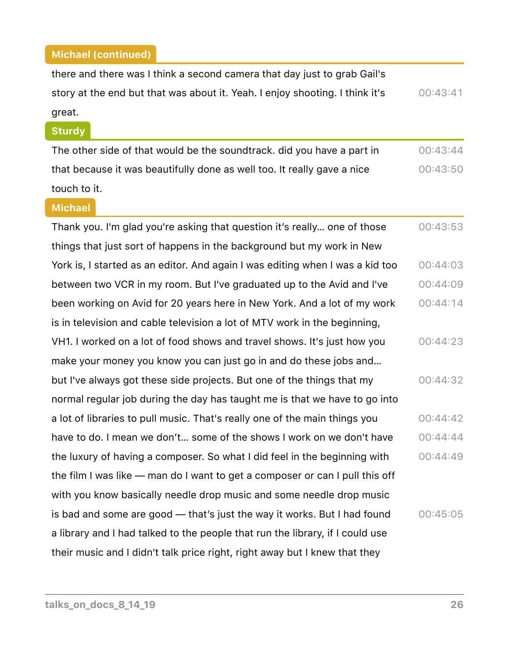there and there was I think a second camera that day just to grab Gail's story at the end but that was about it. Yeah. I enjoy shooting. I think it's great. 00:43:41

#### **Sturdy**

The other side of that would be the soundtrack. did you have a part in that because it was beautifully done as well too. It really gave a nice touch to it. 00:43:44  $00:43:50$ 

#### **Michael**

Thank you. I'm glad you're asking that question it's really… one of those things that just sort of happens in the background but my work in New York is, I started as an editor. And again I was editing when I was a kid too between two VCR in my room. But I've graduated up to the Avid and I've been working on Avid for 20 years here in New York. And a lot of my work is in television and cable television a lot of MTV work in the beginning, VH1. I worked on a lot of food shows and travel shows. It's just how you make your money you know you can just go in and do these jobs and… but I've always got these side projects. But one of the things that my normal regular job during the day has taught me is that we have to go into a lot of libraries to pull music. That's really one of the main things you have to do. I mean we don't… some of the shows I work on we don't have the luxury of having a composer. So what I did feel in the beginning with the film I was like — man do I want to get a composer or can I pull this off with you know basically needle drop music and some needle drop music is bad and some are good — that's just the way it works. But I had found a library and I had talked to the people that run the library, if I could use their music and I didn't talk price right, right away but I knew that they 00:43:53 00:44:03 00:44:09  $00:44:14$ 00:44:23 00:44:32  $00:44:42$ 00:44:44  $00:44:49$  $00:45:05$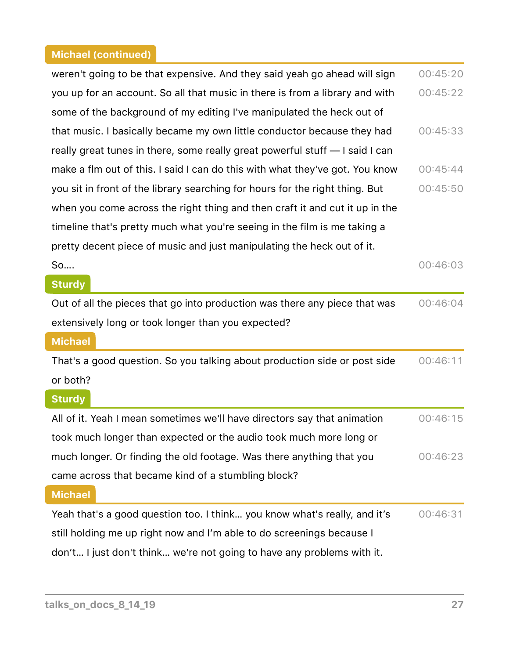| weren't going to be that expensive. And they said yeah go ahead will sign    | 00:45:20 |
|------------------------------------------------------------------------------|----------|
| you up for an account. So all that music in there is from a library and with | 00:45:22 |
| some of the background of my editing I've manipulated the heck out of        |          |
| that music. I basically became my own little conductor because they had      | 00:45:33 |
| really great tunes in there, some really great powerful stuff - I said I can |          |
| make a flm out of this. I said I can do this with what they've got. You know | 00:45:44 |
| you sit in front of the library searching for hours for the right thing. But | 00:45:50 |
| when you come across the right thing and then craft it and cut it up in the  |          |
| timeline that's pretty much what you're seeing in the film is me taking a    |          |
| pretty decent piece of music and just manipulating the heck out of it.       |          |
| So                                                                           | 00:46:03 |
| <b>Sturdy</b>                                                                |          |
| Out of all the pieces that go into production was there any piece that was   | 00:46:04 |
| extensively long or took longer than you expected?                           |          |
| <b>Michael</b>                                                               |          |
| That's a good question. So you talking about production side or post side    |          |
|                                                                              | 00:46:11 |
| or both?                                                                     |          |
| <b>Sturdy</b>                                                                |          |
| All of it. Yeah I mean sometimes we'll have directors say that animation     | 00:46:15 |
| took much longer than expected or the audio took much more long or           |          |
| much longer. Or finding the old footage. Was there anything that you         | 00:46:23 |
| came across that became kind of a stumbling block?                           |          |
| <b>Michael</b>                                                               |          |
| Yeah that's a good question too. I think you know what's really, and it's    | 00:46:31 |
| still holding me up right now and I'm able to do screenings because I        |          |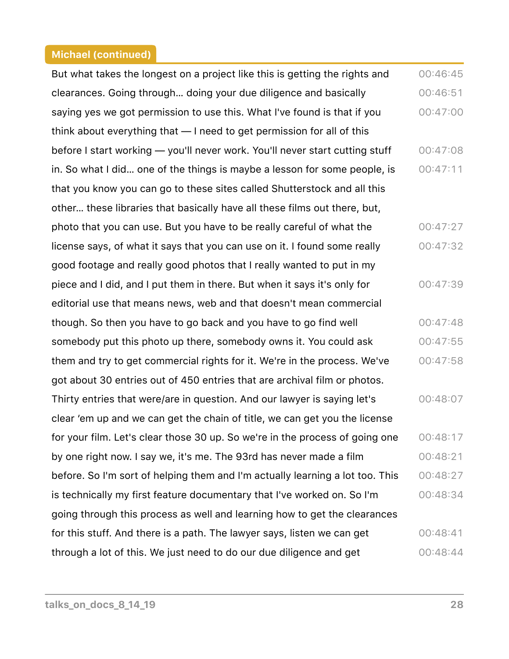But what takes the longest on a project like this is getting the rights and clearances. Going through… doing your due diligence and basically saying yes we got permission to use this. What I've found is that if you think about everything that — I need to get permission for all of this before I start working — you'll never work. You'll never start cutting stuff in. So what I did… one of the things is maybe a lesson for some people, is that you know you can go to these sites called Shutterstock and all this other… these libraries that basically have all these films out there, but, photo that you can use. But you have to be really careful of what the license says, of what it says that you can use on it. I found some really good footage and really good photos that I really wanted to put in my piece and I did, and I put them in there. But when it says it's only for editorial use that means news, web and that doesn't mean commercial though. So then you have to go back and you have to go find well somebody put this photo up there, somebody owns it. You could ask them and try to get commercial rights for it. We're in the process. We've got about 30 entries out of 450 entries that are archival film or photos. Thirty entries that were/are in question. And our lawyer is saying let's clear 'em up and we can get the chain of title, we can get you the license for your film. Let's clear those 30 up. So we're in the process of going one by one right now. I say we, it's me. The 93rd has never made a film before. So I'm sort of helping them and I'm actually learning a lot too. This is technically my first feature documentary that I've worked on. So I'm going through this process as well and learning how to get the clearances for this stuff. And there is a path. The lawyer says, listen we can get through a lot of this. We just need to do our due diligence and get  $00:46:45$  $00:46:51$  $00:47:00$ 00:47:08  $00:47:11$ 00:47:27 00:47:32 00:47:39 00:47:48  $00:47:55$ 00:47:58  $00:48:07$ 00:48:17 00:48:21 00:48:27 00:48:34 00:48:41 00:48:44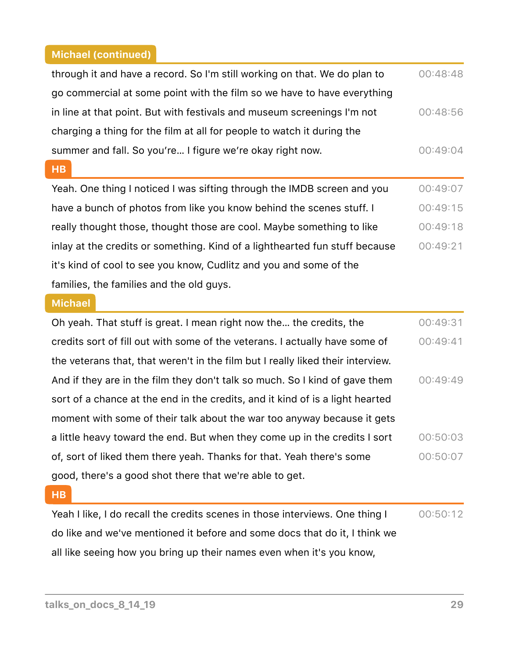| through it and have a record. So I'm still working on that. We do plan to   | 00:48:48 |
|-----------------------------------------------------------------------------|----------|
| go commercial at some point with the film so we have to have everything     |          |
| in line at that point. But with festivals and museum screenings I'm not     | 00:48:56 |
| charging a thing for the film at all for people to watch it during the      |          |
| summer and fall. So you're I figure we're okay right now.                   | 00:49:04 |
| H <sub>B</sub>                                                              |          |
| Yeah. One thing I noticed I was sifting through the IMDB screen and you     | 00:49:07 |
| have a bunch of photos from like you know behind the scenes stuff. I        | 00:49:15 |
| really thought those, thought those are cool. Maybe something to like       | 00:49:18 |
| inlay at the credits or something. Kind of a lighthearted fun stuff because | 00:49:21 |
| it's kind of cool to see you know, Cudlitz and you and some of the          |          |
| families, the families and the old guys.                                    |          |

### **Michael**

| Oh yeah. That stuff is great. I mean right now the the credits, the             | 00:49:31 |
|---------------------------------------------------------------------------------|----------|
| credits sort of fill out with some of the veterans. I actually have some of     | 00:49:41 |
| the veterans that, that weren't in the film but I really liked their interview. |          |
| And if they are in the film they don't talk so much. So I kind of gave them     | 00:49:49 |
| sort of a chance at the end in the credits, and it kind of is a light hearted   |          |
| moment with some of their talk about the war too anyway because it gets         |          |
| a little heavy toward the end. But when they come up in the credits I sort      | 00:50:03 |
| of, sort of liked them there yeah. Thanks for that. Yeah there's some           | 00:50:07 |
| good, there's a good shot there that we're able to get.                         |          |

### **HB**

Yeah I like, I do recall the credits scenes in those interviews. One thing I do like and we've mentioned it before and some docs that do it, I think we all like seeing how you bring up their names even when it's you know, 00:50:12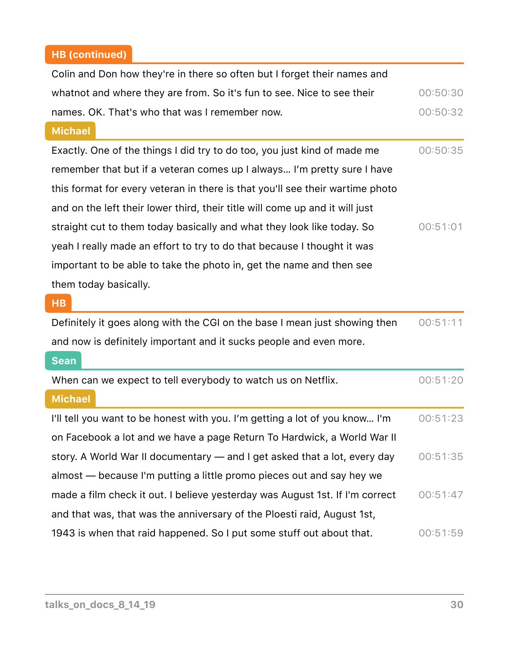# **HB (continued)**

| Colin and Don how they're in there so often but I forget their names and      |          |
|-------------------------------------------------------------------------------|----------|
| whatnot and where they are from. So it's fun to see. Nice to see their        | 00:50:30 |
| names. OK. That's who that was I remember now.                                | 00:50:32 |
| <b>Michael</b>                                                                |          |
| Exactly. One of the things I did try to do too, you just kind of made me      | 00:50:35 |
| remember that but if a veteran comes up I always I'm pretty sure I have       |          |
| this format for every veteran in there is that you'll see their wartime photo |          |
| and on the left their lower third, their title will come up and it will just  |          |
| straight cut to them today basically and what they look like today. So        | 00:51:01 |
| yeah I really made an effort to try to do that because I thought it was       |          |
| important to be able to take the photo in, get the name and then see          |          |
| them today basically.                                                         |          |
| <b>HB</b>                                                                     |          |
| Definitely it goes along with the CGI on the base I mean just showing then    | 00:51:11 |
| and now is definitely important and it sucks people and even more.            |          |
| <b>Sean</b>                                                                   |          |
| When can we expect to tell everybody to watch us on Netflix.                  | 00:51:20 |
| <b>Michael</b>                                                                |          |
| I'll tell you want to be honest with you. I'm getting a lot of you know I'm   | 00:51:23 |
| on Facebook a lot and we have a page Return To Hardwick, a World War II       |          |
| story. A World War II documentary — and I get asked that a lot, every day     | 00:51:35 |
| almost — because I'm putting a little promo pieces out and say hey we         |          |
| made a film check it out. I believe yesterday was August 1st. If I'm correct  | 00:51:47 |
| and that was, that was the anniversary of the Ploesti raid, August 1st,       |          |
| 1943 is when that raid happened. So I put some stuff out about that.          | 00:51:59 |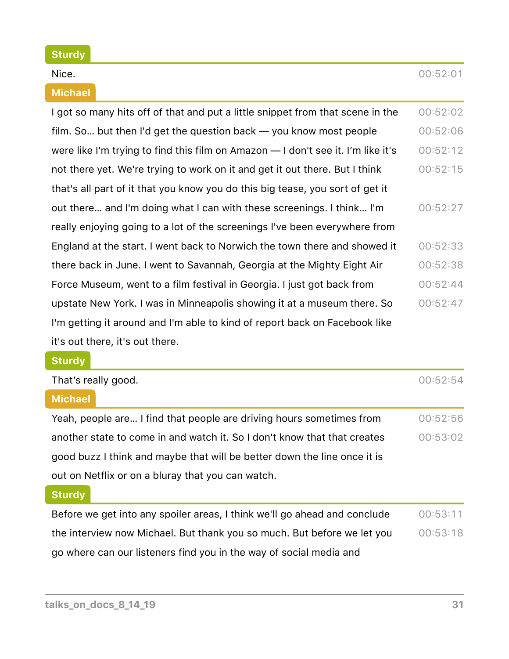#### **Sturdy**

#### **Michael**

| I got so many hits off of that and put a little snippet from that scene in the   | 00:52:02 |
|----------------------------------------------------------------------------------|----------|
| film. So but then I'd get the question back — you know most people               | 00:52:06 |
| were like I'm trying to find this film on Amazon - I don't see it. I'm like it's | 00:52:12 |
| not there yet. We're trying to work on it and get it out there. But I think      | 00:52:15 |
| that's all part of it that you know you do this big tease, you sort of get it    |          |
| out there and I'm doing what I can with these screenings. I think I'm            | 00:52:27 |
| really enjoying going to a lot of the screenings I've been everywhere from       |          |
| England at the start. I went back to Norwich the town there and showed it        | 00:52:33 |
| there back in June. I went to Savannah, Georgia at the Mighty Eight Air          | 00:52:38 |
| Force Museum, went to a film festival in Georgia. I just got back from           | 00:52:44 |
| upstate New York. I was in Minneapolis showing it at a museum there. So          | 00:52:47 |
| I'm getting it around and I'm able to kind of report back on Facebook like       |          |
| it's out there, it's out there.                                                  |          |
| <b>Sturdy</b>                                                                    |          |
| That's really good.                                                              | 00:52:54 |
| <b>Michael</b>                                                                   |          |
|                                                                                  |          |

Yeah, people are… I find that people are driving hours sometimes from another state to come in and watch it. So I don't know that that creates good buzz I think and maybe that will be better down the line once it is out on Netflix or on a bluray that you can watch.  $00:52:56$ 00:53:02

#### **Sturdy**

Before we get into any spoiler areas, I think we'll go ahead and conclude the interview now Michael. But thank you so much. But before we let you go where can our listeners find you in the way of social media and  $00:53:11$  $00:53:18$